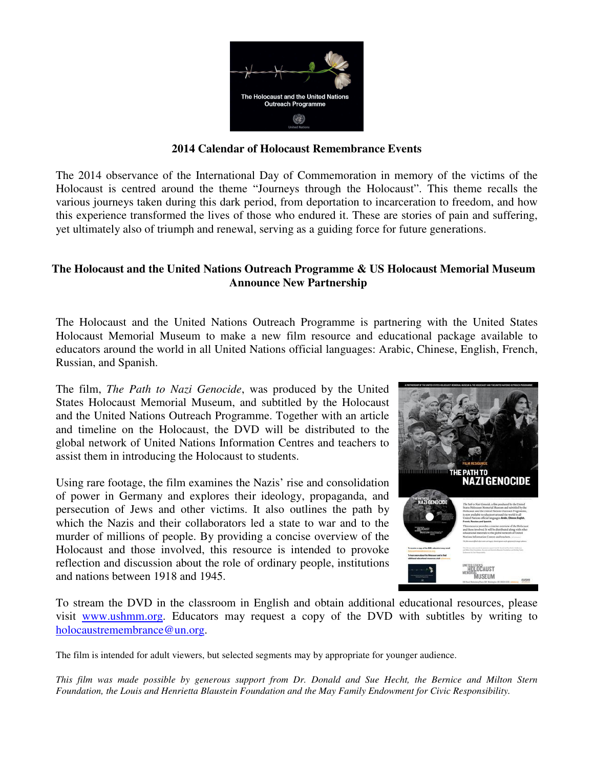

#### **2014 Calendar of Holocaust Remembrance Events**

The 2014 observance of the International Day of Commemoration in memory of the victims of the Holocaust is centred around the theme "Journeys through the Holocaust". This theme recalls the various journeys taken during this dark period, from deportation to incarceration to freedom, and how this experience transformed the lives of those who endured it. These are stories of pain and suffering, yet ultimately also of triumph and renewal, serving as a guiding force for future generations.

### **The Holocaust and the United Nations Outreach Programme & US Holocaust Memorial Museum Announce New Partnership**

The Holocaust and the United Nations Outreach Programme is partnering with the United States Holocaust Memorial Museum to make a new film resource and educational package available to educators around the world in all United Nations official languages: Arabic, Chinese, English, French, Russian, and Spanish.

The film, *The Path to Nazi Genocide*, was produced by the United States Holocaust Memorial Museum, and subtitled by the Holocaust and the United Nations Outreach Programme. Together with an article and timeline on the Holocaust, the DVD will be distributed to the global network of United Nations Information Centres and teachers to assist them in introducing the Holocaust to students.

Using rare footage, the film examines the Nazis' rise and consolidation of power in Germany and explores their ideology, propaganda, and persecution of Jews and other victims. It also outlines the path by which the Nazis and their collaborators led a state to war and to the murder of millions of people. By providing a concise overview of the Holocaust and those involved, this resource is intended to provoke reflection and discussion about the role of ordinary people, institutions and nations between 1918 and 1945.



To stream the DVD in the classroom in English and obtain additional educational resources, please visit www.ushmm.org. Educators may request a copy of the DVD with subtitles by writing to holocaustremembrance@un.org.

The film is intended for adult viewers, but selected segments may by appropriate for younger audience.

*This film was made possible by generous support from Dr. Donald and Sue Hecht, the Bernice and Milton Stern Foundation, the Louis and Henrietta Blaustein Foundation and the May Family Endowment for Civic Responsibility.*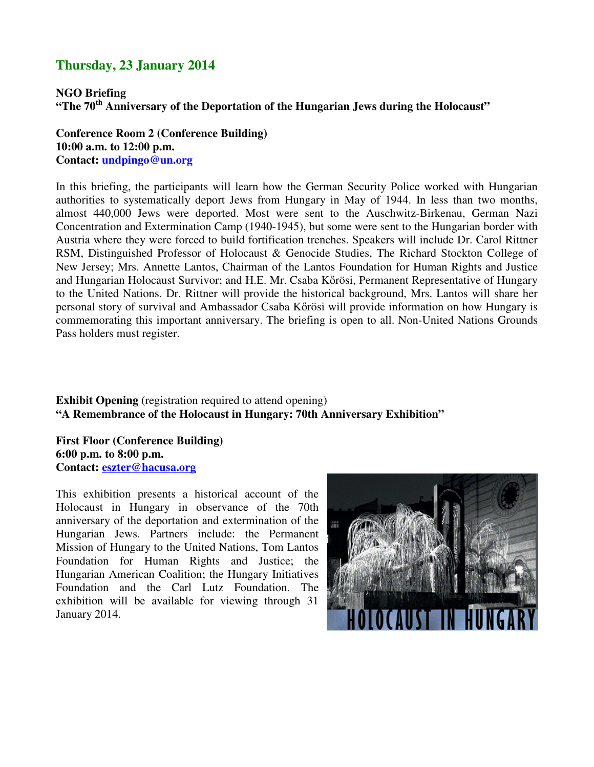## **Thursday, 23 January 2014**

**NGO Briefing "The 70th Anniversary of the Deportation of the Hungarian Jews during the Holocaust"** 

**Conference Room 2 (Conference Building) 10:00 a.m. to 12:00 p.m. Contact: undpingo@un.org** 

In this briefing, the participants will learn how the German Security Police worked with Hungarian authorities to systematically deport Jews from Hungary in May of 1944. In less than two months, almost 440,000 Jews were deported. Most were sent to the Auschwitz-Birkenau, German Nazi Concentration and Extermination Camp (1940-1945), but some were sent to the Hungarian border with Austria where they were forced to build fortification trenches. Speakers will include Dr. Carol Rittner RSM, Distinguished Professor of Holocaust & Genocide Studies, The Richard Stockton College of New Jersey; Mrs. Annette Lantos, Chairman of the Lantos Foundation for Human Rights and Justice and Hungarian Holocaust Survivor; and H.E. Mr. Csaba Kőrösi, Permanent Representative of Hungary to the United Nations. Dr. Rittner will provide the historical background, Mrs. Lantos will share her personal story of survival and Ambassador Csaba Kőrösi will provide information on how Hungary is commemorating this important anniversary. The briefing is open to all. Non-United Nations Grounds Pass holders must register.

**Exhibit Opening** (registration required to attend opening) **"A Remembrance of the Holocaust in Hungary: 70th Anniversary Exhibition"** 

**First Floor (Conference Building) 6:00 p.m. to 8:00 p.m. Contact: eszter@hacusa.org**

This exhibition presents a historical account of the Holocaust in Hungary in observance of the 70th anniversary of the deportation and extermination of the Hungarian Jews. Partners include: the Permanent Mission of Hungary to the United Nations, Tom Lantos Foundation for Human Rights and Justice; the Hungarian American Coalition; the Hungary Initiatives Foundation and the Carl Lutz Foundation. The exhibition will be available for viewing through 31 January 2014.

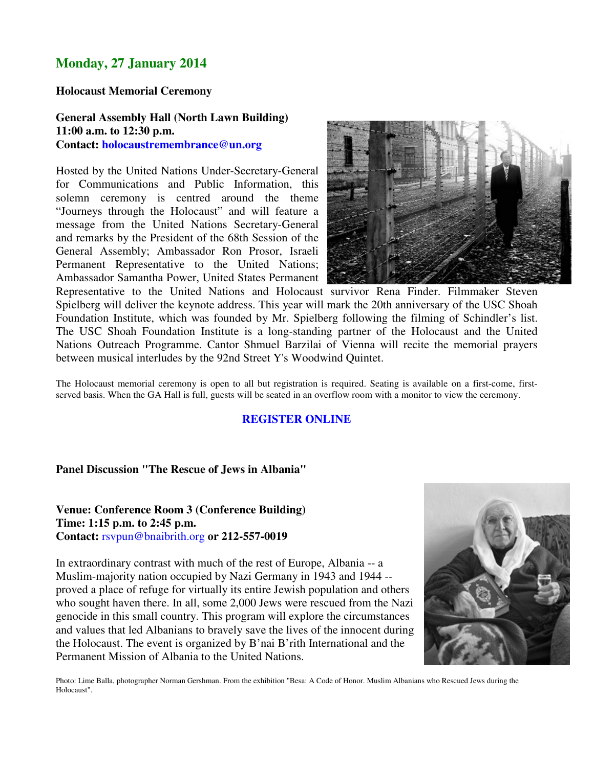# **Monday, 27 January 2014**

#### **Holocaust Memorial Ceremony**

### **General Assembly Hall (North Lawn Building) 11:00 a.m. to 12:30 p.m. Contact: holocaustremembrance@un.org**

Hosted by the United Nations Under-Secretary-General for Communications and Public Information, this solemn ceremony is centred around the theme "Journeys through the Holocaust" and will feature a message from the United Nations Secretary-General and remarks by the President of the 68th Session of the General Assembly; Ambassador Ron Prosor, Israeli Permanent Representative to the United Nations; Ambassador Samantha Power, United States Permanent



Representative to the United Nations and Holocaust survivor Rena Finder. Filmmaker Steven Spielberg will deliver the keynote address. This year will mark the 20th anniversary of the USC Shoah Foundation Institute, which was founded by Mr. Spielberg following the filming of Schindler's list. The USC Shoah Foundation Institute is a long-standing partner of the Holocaust and the United Nations Outreach Programme. Cantor Shmuel Barzilai of Vienna will recite the memorial prayers between musical interludes by the 92nd Street Y's Woodwind Quintet.

The Holocaust memorial ceremony is open to all but registration is required. Seating is available on a first-come, firstserved basis. When the GA Hall is full, guests will be seated in an overflow room with a monitor to view the ceremony.

#### **REGISTER ONLINE**

#### **Panel Discussion "The Rescue of Jews in Albania"**

#### **Venue: Conference Room 3 (Conference Building) Time: 1:15 p.m. to 2:45 p.m. Contact:** rsvpun@bnaibrith.org **or 212-557-0019**

In extraordinary contrast with much of the rest of Europe, Albania -- a Muslim-majority nation occupied by Nazi Germany in 1943 and 1944 - proved a place of refuge for virtually its entire Jewish population and others who sought haven there. In all, some 2,000 Jews were rescued from the Nazi genocide in this small country. This program will explore the circumstances and values that led Albanians to bravely save the lives of the innocent during the Holocaust. The event is organized by B'nai B'rith International and the Permanent Mission of Albania to the United Nations.



Photo: Lime Balla, photographer Norman Gershman. From the exhibition "Besa: A Code of Honor. Muslim Albanians who Rescued Jews during the Holocaust".